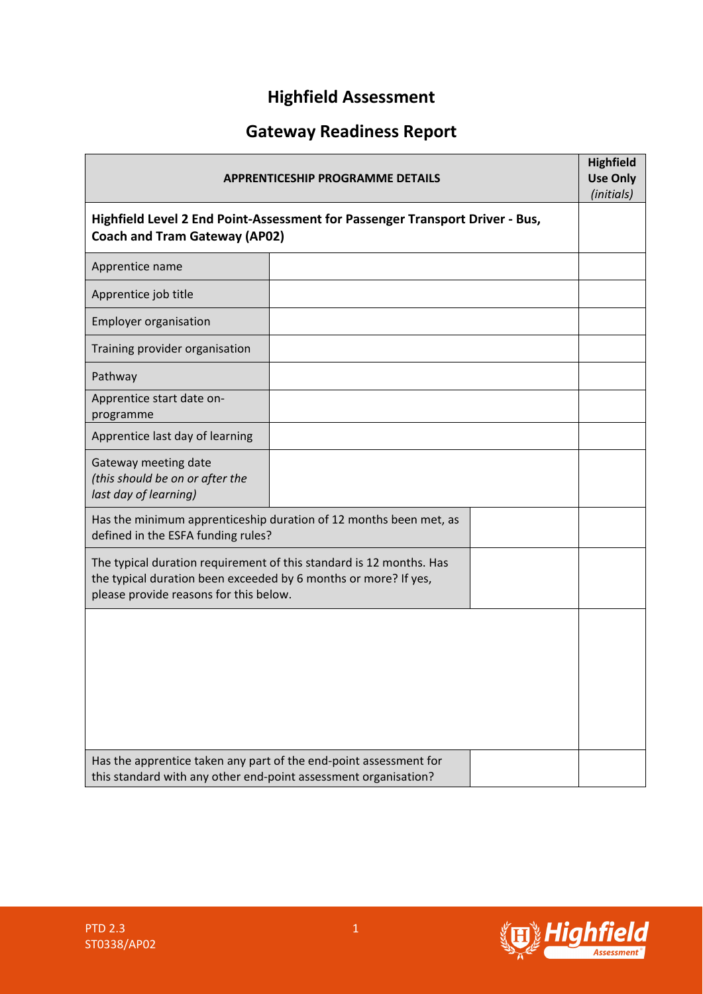# **Highfield Assessment**

# **Gateway Readiness Report**

| <b>APPRENTICESHIP PROGRAMME DETAILS</b><br>Highfield Level 2 End Point-Assessment for Passenger Transport Driver - Bus,<br><b>Coach and Tram Gateway (AP02)</b>                  |  |  | <b>Highfield</b><br><b>Use Only</b><br>(initials) |
|----------------------------------------------------------------------------------------------------------------------------------------------------------------------------------|--|--|---------------------------------------------------|
|                                                                                                                                                                                  |  |  |                                                   |
| Apprentice name                                                                                                                                                                  |  |  |                                                   |
| Apprentice job title                                                                                                                                                             |  |  |                                                   |
| <b>Employer organisation</b>                                                                                                                                                     |  |  |                                                   |
| Training provider organisation                                                                                                                                                   |  |  |                                                   |
| Pathway                                                                                                                                                                          |  |  |                                                   |
| Apprentice start date on-<br>programme                                                                                                                                           |  |  |                                                   |
| Apprentice last day of learning                                                                                                                                                  |  |  |                                                   |
| Gateway meeting date<br>(this should be on or after the<br>last day of learning)                                                                                                 |  |  |                                                   |
| Has the minimum apprenticeship duration of 12 months been met, as<br>defined in the ESFA funding rules?                                                                          |  |  |                                                   |
| The typical duration requirement of this standard is 12 months. Has<br>the typical duration been exceeded by 6 months or more? If yes,<br>please provide reasons for this below. |  |  |                                                   |
|                                                                                                                                                                                  |  |  |                                                   |
| Has the apprentice taken any part of the end-point assessment for<br>this standard with any other end-point assessment organisation?                                             |  |  |                                                   |

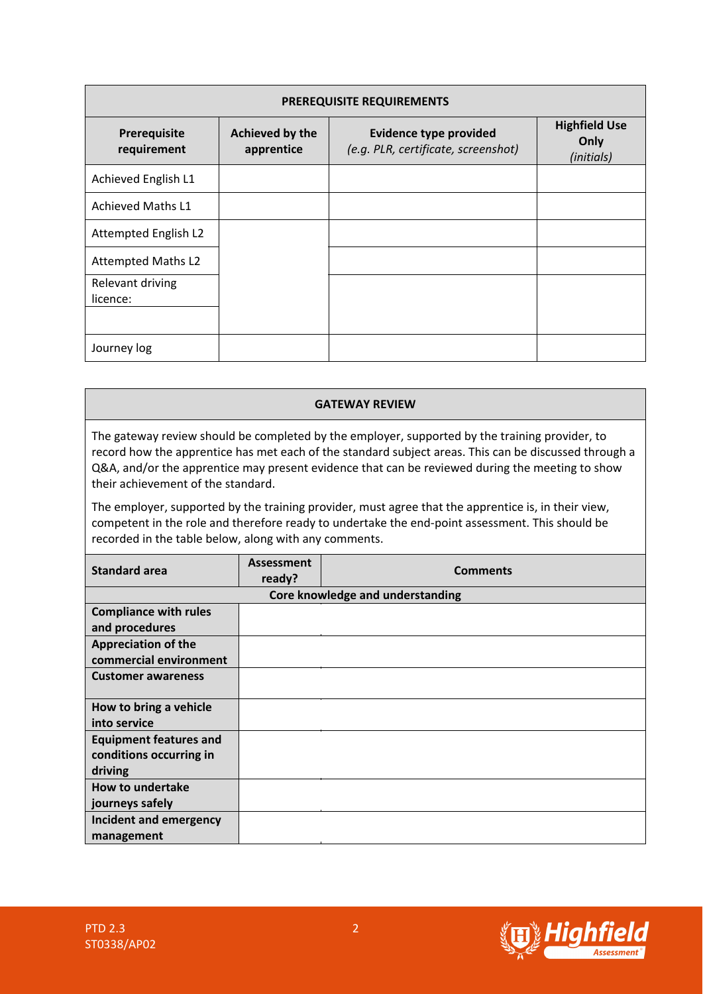| PREREQUISITE REQUIREMENTS    |                               |                                                                      |                                            |  |  |
|------------------------------|-------------------------------|----------------------------------------------------------------------|--------------------------------------------|--|--|
| Prerequisite<br>requirement  | Achieved by the<br>apprentice | <b>Evidence type provided</b><br>(e.g. PLR, certificate, screenshot) | <b>Highfield Use</b><br>Only<br>(initials) |  |  |
| Achieved English L1          |                               |                                                                      |                                            |  |  |
| <b>Achieved Maths L1</b>     |                               |                                                                      |                                            |  |  |
| Attempted English L2         |                               |                                                                      |                                            |  |  |
| <b>Attempted Maths L2</b>    |                               |                                                                      |                                            |  |  |
| Relevant driving<br>licence: |                               |                                                                      |                                            |  |  |
| Journey log                  |                               |                                                                      |                                            |  |  |

#### **GATEWAY REVIEW**

The gateway review should be completed by the employer, supported by the training provider, to record how the apprentice has met each of the standard subject areas. This can be discussed through a Q&A, and/or the apprentice may present evidence that can be reviewed during the meeting to show their achievement of the standard.

The employer, supported by the training provider, must agree that the apprentice is, in their view, competent in the role and therefore ready to undertake the end-point assessment. This should be recorded in the table below, along with any comments.

| <b>Standard area</b>                                                | <b>Assessment</b><br>ready? | <b>Comments</b> |  |  |
|---------------------------------------------------------------------|-----------------------------|-----------------|--|--|
| Core knowledge and understanding                                    |                             |                 |  |  |
| <b>Compliance with rules</b><br>and procedures                      |                             |                 |  |  |
| <b>Appreciation of the</b><br>commercial environment                |                             |                 |  |  |
| <b>Customer awareness</b>                                           |                             |                 |  |  |
| How to bring a vehicle<br>into service                              |                             |                 |  |  |
| <b>Equipment features and</b><br>conditions occurring in<br>driving |                             |                 |  |  |
| <b>How to undertake</b><br>journeys safely                          |                             |                 |  |  |
| Incident and emergency<br>management                                |                             |                 |  |  |

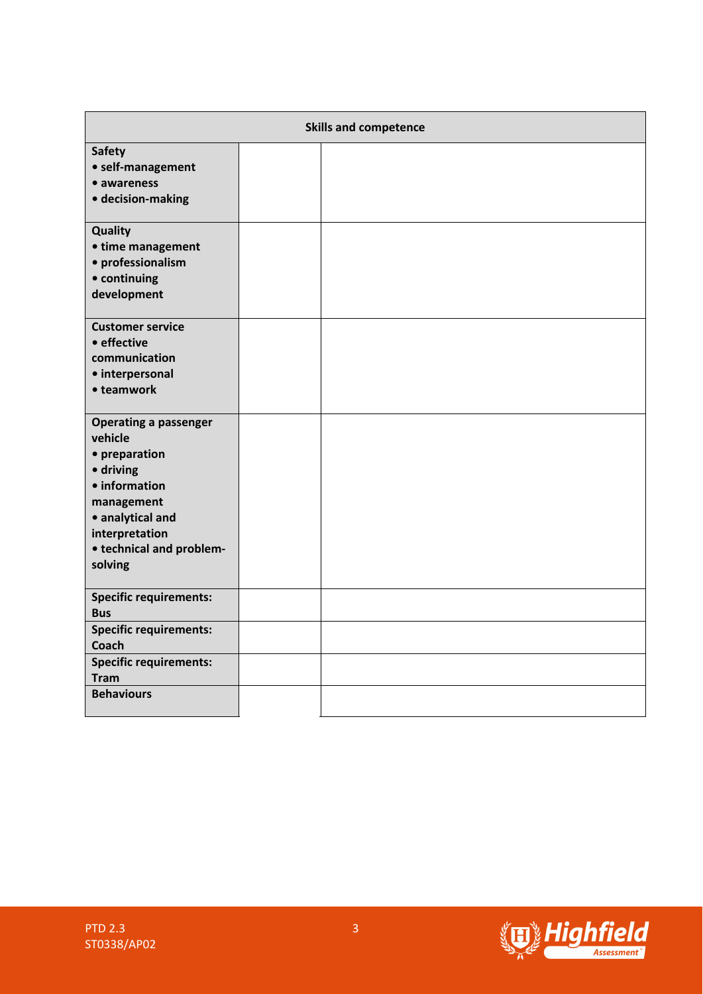| <b>Skills and competence</b>       |  |  |  |
|------------------------------------|--|--|--|
| <b>Safety</b><br>• self-management |  |  |  |
| • awareness                        |  |  |  |
| · decision-making                  |  |  |  |
| <b>Quality</b>                     |  |  |  |
| • time management                  |  |  |  |
| · professionalism<br>• continuing  |  |  |  |
| development                        |  |  |  |
|                                    |  |  |  |
| <b>Customer service</b>            |  |  |  |
| • effective                        |  |  |  |
| communication<br>· interpersonal   |  |  |  |
| • teamwork                         |  |  |  |
|                                    |  |  |  |
| <b>Operating a passenger</b>       |  |  |  |
| vehicle                            |  |  |  |
| • preparation<br>· driving         |  |  |  |
| • information                      |  |  |  |
| management                         |  |  |  |
| • analytical and                   |  |  |  |
| interpretation                     |  |  |  |
| • technical and problem-           |  |  |  |
| solving                            |  |  |  |
| <b>Specific requirements:</b>      |  |  |  |
| <b>Bus</b>                         |  |  |  |
| <b>Specific requirements:</b>      |  |  |  |
| Coach                              |  |  |  |
| <b>Specific requirements:</b>      |  |  |  |
| <b>Tram</b>                        |  |  |  |
| <b>Behaviours</b>                  |  |  |  |

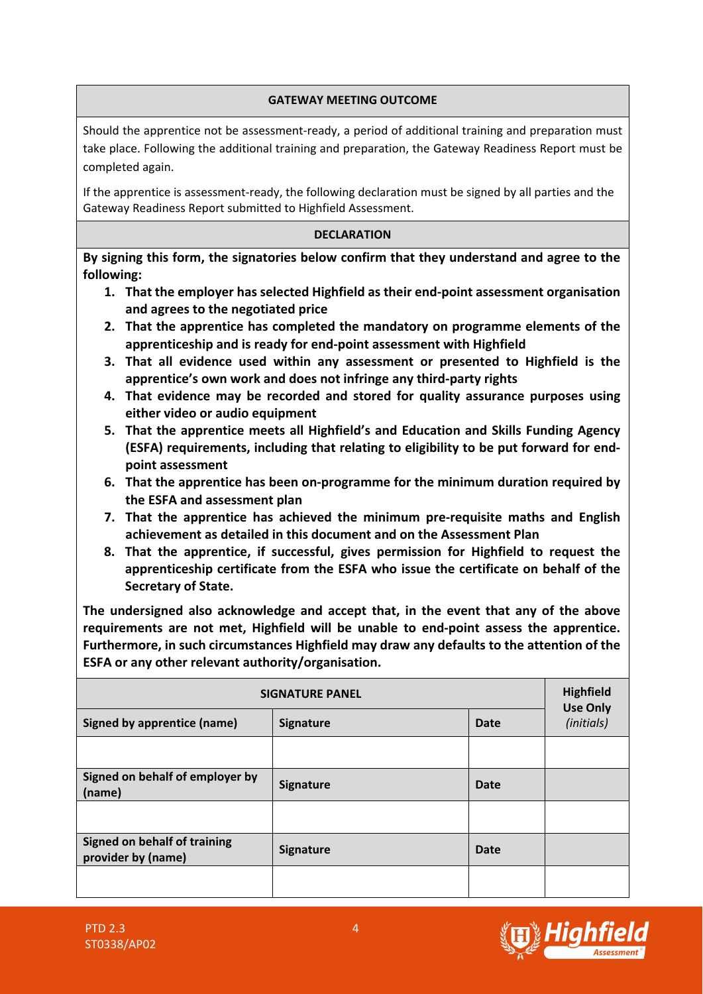### **GATEWAY MEETING OUTCOME**

Should the apprentice not be assessment-ready, a period of additional training and preparation must take place. Following the additional training and preparation, the Gateway Readiness Report must be completed again.

If the apprentice is assessment-ready, the following declaration must be signed by all parties and the Gateway Readiness Report submitted to Highfield Assessment.

### **DECLARATION**

**By signing this form, the signatories below confirm that they understand and agree to the following:**

- **1. That the employer has selected Highfield as their end-point assessment organisation and agrees to the negotiated price**
- **2. That the apprentice has completed the mandatory on programme elements of the apprenticeship and is ready for end-point assessment with Highfield**
- **3. That all evidence used within any assessment or presented to Highfield is the apprentice's own work and does not infringe any third-party rights**
- **4. That evidence may be recorded and stored for quality assurance purposes using either video or audio equipment**
- **5. That the apprentice meets all Highfield's and Education and Skills Funding Agency (ESFA) requirements, including that relating to eligibility to be put forward for endpoint assessment**
- **6. That the apprentice has been on-programme for the minimum duration required by the ESFA and assessment plan**
- **7. That the apprentice has achieved the minimum pre-requisite maths and English achievement as detailed in this document and on the Assessment Plan**
- **8. That the apprentice, if successful, gives permission for Highfield to request the apprenticeship certificate from the ESFA who issue the certificate on behalf of the Secretary of State.**

**The undersigned also acknowledge and accept that, in the event that any of the above requirements are not met, Highfield will be unable to end-point assess the apprentice. Furthermore, in such circumstances Highfield may draw any defaults to the attention of the ESFA or any other relevant authority/organisation.**

| <b>SIGNATURE PANEL</b>                             | <b>Highfield</b><br><b>Use Only</b> |             |  |
|----------------------------------------------------|-------------------------------------|-------------|--|
| <b>Signed by apprentice (name)</b>                 | <b>Signature</b>                    | (initials)  |  |
|                                                    |                                     |             |  |
| Signed on behalf of employer by<br>(name)          | <b>Signature</b>                    | <b>Date</b> |  |
|                                                    |                                     |             |  |
| Signed on behalf of training<br>provider by (name) | <b>Signature</b>                    | <b>Date</b> |  |
|                                                    |                                     |             |  |